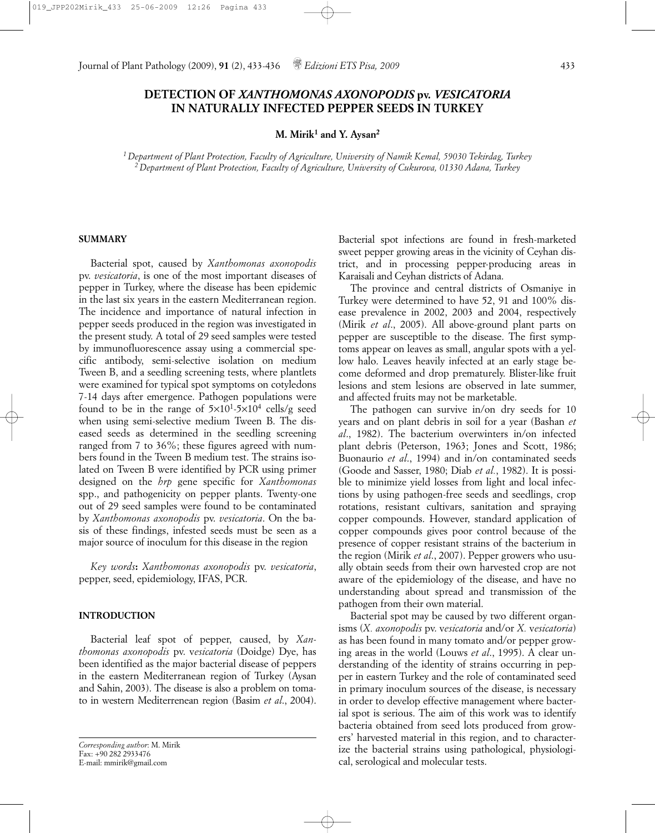Journal of Plant Pathology (2009), **91** (2), 433-436 *Edizioni ETS Pisa, 2009* 433

# **DETECTION OF** *XANTHOMONAS AXONOPODIS* **pv.** *VESICATORIA* **IN NATURALLY INFECTED PEPPER SEEDS IN TURKEY**

## **M. Mirik1 and Y. Aysan2**

*1 Department of Plant Protection, Faculty of Agriculture, University of Namik Kemal, 59030 Tekirdag, Turkey 2 Department of Plant Protection, Faculty of Agriculture, University of Cukurova, 01330 Adana, Turkey*

#### **SUMMARY**

Bacterial spot, caused by *Xanthomonas axonopodis* pv. *vesicatoria*, is one of the most important diseases of pepper in Turkey, where the disease has been epidemic in the last six years in the eastern Mediterranean region. The incidence and importance of natural infection in pepper seeds produced in the region was investigated in the present study. A total of 29 seed samples were tested by immunofluorescence assay using a commercial specific antibody, semi-selective isolation on medium Tween B, and a seedling screening tests, where plantlets were examined for typical spot symptoms on cotyledons 7-14 days after emergence. Pathogen populations were found to be in the range of  $5\times10^{1}$ - $5\times10^{4}$  cells/g seed when using semi-selective medium Tween B. The diseased seeds as determined in the seedling screening ranged from 7 to 36%; these figures agreed with numbers found in the Tween B medium test. The strains isolated on Tween B were identified by PCR using primer designed on the *hrp* gene specific for *Xanthomonas* spp., and pathogenicity on pepper plants. Twenty-one out of 29 seed samples were found to be contaminated by *Xanthomonas axonopodis* pv. *vesicatoria*. On the basis of these findings, infested seeds must be seen as a major source of inoculum for this disease in the region

*Key words***:** *Xanthomonas axonopodis* pv. *vesicatoria*, pepper, seed, epidemiology, IFAS, PCR.

### **INTRODUCTION**

Bacterial leaf spot of pepper, caused, by *Xanthomonas axonopodis* pv. v*esicatoria* (Doidge) Dye, has been identified as the major bacterial disease of peppers in the eastern Mediterranean region of Turkey (Aysan and Sahin, 2003). The disease is also a problem on tomato in western Mediterrenean region (Basim *et al*., 2004).

*Corresponding author*: M. Mirik Fax: +90 282 2933476 E-mail: mmirik@gmail.com

Bacterial spot infections are found in fresh-marketed sweet pepper growing areas in the vicinity of Ceyhan district, and in processing pepper-producing areas in Karaisali and Ceyhan districts of Adana.

The province and central districts of Osmaniye in Turkey were determined to have 52, 91 and 100% disease prevalence in 2002, 2003 and 2004, respectively (Mirik *et al*., 2005). All above-ground plant parts on pepper are susceptible to the disease. The first symptoms appear on leaves as small, angular spots with a yellow halo. Leaves heavily infected at an early stage become deformed and drop prematurely. Blister-like fruit lesions and stem lesions are observed in late summer, and affected fruits may not be marketable.

The pathogen can survive in/on dry seeds for 10 years and on plant debris in soil for a year (Bashan *et al*., 1982). The bacterium overwinters in/on infected plant debris (Peterson, 1963; Jones and Scott, 1986; Buonaurio *et al*., 1994) and in/on contaminated seeds (Goode and Sasser, 1980; Diab *et al.*, 1982). It is possible to minimize yield losses from light and local infections by using pathogen-free seeds and seedlings, crop rotations, resistant cultivars, sanitation and spraying copper compounds. However, standard application of copper compounds gives poor control because of the presence of copper resistant strains of the bacterium in the region (Mirik *et al*., 2007). Pepper growers who usually obtain seeds from their own harvested crop are not aware of the epidemiology of the disease, and have no understanding about spread and transmission of the pathogen from their own material.

Bacterial spot may be caused by two different organisms (*X. axonopodis* pv. v*esicatoria* and/or *X.* v*esicatoria*) as has been found in many tomato and/or pepper growing areas in the world (Louws *et al*., 1995). A clear understanding of the identity of strains occurring in pepper in eastern Turkey and the role of contaminated seed in primary inoculum sources of the disease, is necessary in order to develop effective management where bacterial spot is serious. The aim of this work was to identify bacteria obtained from seed lots produced from growers' harvested material in this region, and to characterize the bacterial strains using pathological, physiological, serological and molecular tests.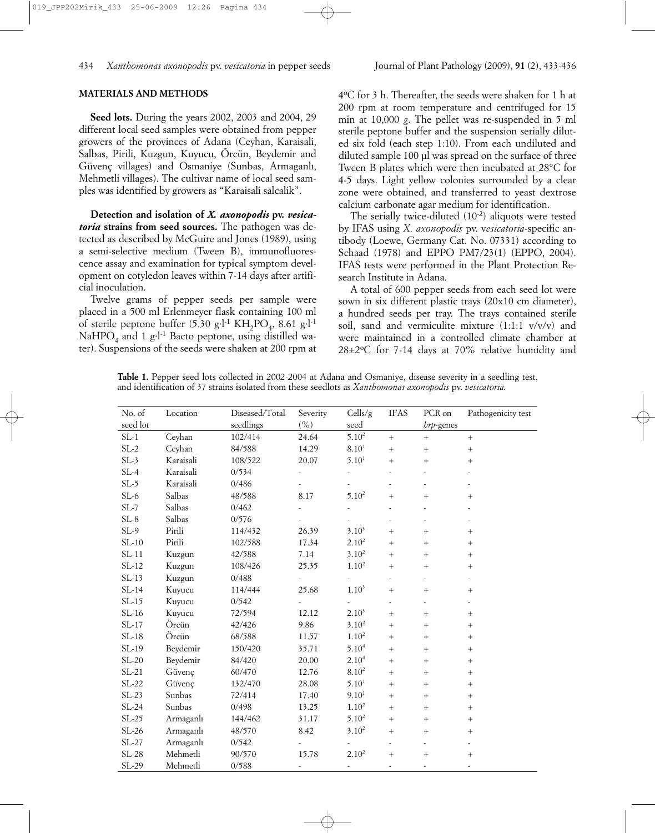#### **MATERIALS AND METHODS**

**Seed lots.** During the years 2002, 2003 and 2004, 29 different local seed samples were obtained from pepper growers of the provinces of Adana (Ceyhan, Karaisali, Salbas, Pirili, Kuzgun, Kuyucu, Örcün, Beydemir and Güvenç villages) and Osmaniye (Sunbas, Armaganlı, Mehmetli villages). The cultivar name of local seed samples was identified by growers as "Karaisali salcalik".

**Detection and isolation of** *X. axonopodis* **pv.** *vesicatoria* **strains from seed sources.** The pathogen was detected as described by McGuire and Jones (1989), using a semi-selective medium (Tween B), immunofluorescence assay and examination for typical symptom development on cotyledon leaves within 7-14 days after artificial inoculation.

Twelve grams of pepper seeds per sample were placed in a 500 ml Erlenmeyer flask containing 100 ml of sterile peptone buffer  $(5.30 \text{ g} \cdot \text{C}^1 \cdot \text{KH}_2\text{PO}_4, 8.61 \text{ g} \cdot \text{C}^1 \cdot \text{C}^1$ NaHPO<sub>4</sub> and 1 g·l<sup>-1</sup> Bacto peptone, using distilled water). Suspensions of the seeds were shaken at 200 rpm at 4oC for 3 h. Thereafter, the seeds were shaken for 1 h at 200 rpm at room temperature and centrifuged for 15 min at 10,000 *g*. The pellet was re-suspended in 5 ml sterile peptone buffer and the suspension serially diluted six fold (each step 1:10). From each undiluted and diluted sample 100 µl was spread on the surface of three Tween B plates which were then incubated at 28°C for 4-5 days. Light yellow colonies surrounded by a clear zone were obtained, and transferred to yeast dextrose calcium carbonate agar medium for identification.

The serially twice-diluted  $(10^{-2})$  aliquots were tested by IFAS using *X. axonopodis* pv. v*esicatoria*-specific antibody (Loewe, Germany Cat. No. 07331) according to Schaad (1978) and EPPO PM7/23(1) (EPPO, 2004). IFAS tests were performed in the Plant Protection Research Institute in Adana.

A total of 600 pepper seeds from each seed lot were sown in six different plastic trays (20x10 cm diameter), a hundred seeds per tray. The trays contained sterile soil, sand and vermiculite mixture (1:1:1 v/v/v) and were maintained in a controlled climate chamber at  $28\pm2\degree$ C for 7-14 days at 70% relative humidity and

**Table 1.** Pepper seed lots collected in 2002-2004 at Adana and Osmaniye, disease severity in a seedling test, and identification of 37 strains isolated from these seedlots as *Xanthomonas axonopodis* pv. *vesicatoria.*

| No. of   | Location  | Diseased/Total | Severity | Cells/g           | <b>IFAS</b> | PCR on          | Pathogenicity test |
|----------|-----------|----------------|----------|-------------------|-------------|-----------------|--------------------|
| seed lot |           | seedlings      | (%)      | seed              |             | hrp-genes       |                    |
| $SL-1$   | Ceyhan    | 102/414        | 24.64    | $5.10^2$          | $^{+}$      | $^{+}$          | $+$                |
| $SL-2$   | Ceyhan    | 84/588         | 14.29    | $8.10^{1}$        | $+$         | $^{+}$          | $+$                |
| $SL-3$   | Karaisali | 108/522        | 20.07    | 5.10 <sup>1</sup> | $+$         | $^{+}$          | $^{+}$             |
| $SL-4$   | Karaisali | 0/534          |          |                   |             |                 |                    |
| $SL-5$   | Karaisali | 0/486          |          |                   |             |                 |                    |
| $SL-6$   | Salbas    | 48/588         | 8.17     | $5.10^{2}$        | $^{+}$      | $^{+}$          | $+$                |
| $SL-7$   | Salbas    | 0/462          |          |                   |             |                 |                    |
| $SL-8$   | Salbas    | 0/576          |          |                   |             |                 |                    |
| $SL-9$   | Pirili    | 114/432        | 26.39    | $3.10^{3}$        | $^{+}$      | $^{+}$          | $+$                |
| $SL-10$  | Pirili    | 102/588        | 17.34    | $2.10^{2}$        | $^{+}$      | $^{+}$          | $^{+}$             |
| $SL-11$  | Kuzgun    | 42/588         | 7.14     | $3.10^{2}$        | $+$         | $^{+}$          | $^{+}$             |
| $SL-12$  | Kuzgun    | 108/426        | 25.35    | $1.10^{2}$        | $^{+}$      | $^{+}$          | $+$                |
| $SL-13$  | Kuzgun    | 0/488          |          | ä,                |             |                 |                    |
| $SL-14$  | Kuyucu    | 114/444        | 25.68    | $1.10^{3}$        |             | $^{+}$          | $\boldsymbol{+}$   |
| $SL-15$  | Kuyucu    | 0/542          |          |                   |             |                 |                    |
| $SL-16$  | Kuyucu    | 72/594         | 12.12    | $2.10^{3}$        | $^{+}$      | $\! + \!\!\!\!$ | $\boldsymbol{+}$   |
| $SL-17$  | Örcün     | 42/426         | 9.86     | $3.10^{2}$        | $^{+}$      | $^{+}$          | $^{+}$             |
| $SL-18$  | Örcün     | 68/588         | 11.57    | 1.10 <sup>2</sup> | $^{+}$      | $^{+}$          | $^{+}$             |
| $SL-19$  | Beydemir  | 150/420        | 35.71    | $5.10^{4}$        | $^{+}$      | $^{+}$          | $^{+}$             |
| $SL-20$  | Beydemir  | 84/420         | 20.00    | $2.10^{4}$        | $^{+}$      | $^{+}$          | $^{+}$             |
| $SL-21$  | Güvenç    | 60/470         | 12.76    | $8.10^{2}$        | $^{+}$      | $^{+}$          | $^{+}$             |
| $SL-22$  | Güvenç    | 132/470        | 28.08    | 5.10 <sup>1</sup> | $^{+}$      | $^{+}$          | $^{+}$             |
| $SL-23$  | Sunbas    | 72/414         | 17.40    | $9.10^{1}$        | $+$         | $^{+}$          | $^{+}$             |
| $SL-24$  | Sunbas    | 0/498          | 13.25    | 1.10 <sup>2</sup> | $^{+}$      | $^{+}$          | $+$                |
| $SL-25$  | Armaganlı | 144/462        | 31.17    | $5.10^2$          | $^{+}$      | $^{+}$          | $^{+}$             |
| $SL-26$  | Armaganlı | 48/570         | 8.42     | $3.10^{2}$        | $^{+}$      | $^{+}$          | $^{+}$             |
| $SL-27$  | Armaganlı | 0/542          |          |                   |             |                 |                    |
| SL-28    | Mehmetli  | 90/570         | 15.78    | 2.10 <sup>2</sup> | $+$         | $^{+}$          | $^{+}$             |
| $SL-29$  | Mehmetli  | 0/588          | ä,       | ä,                |             |                 |                    |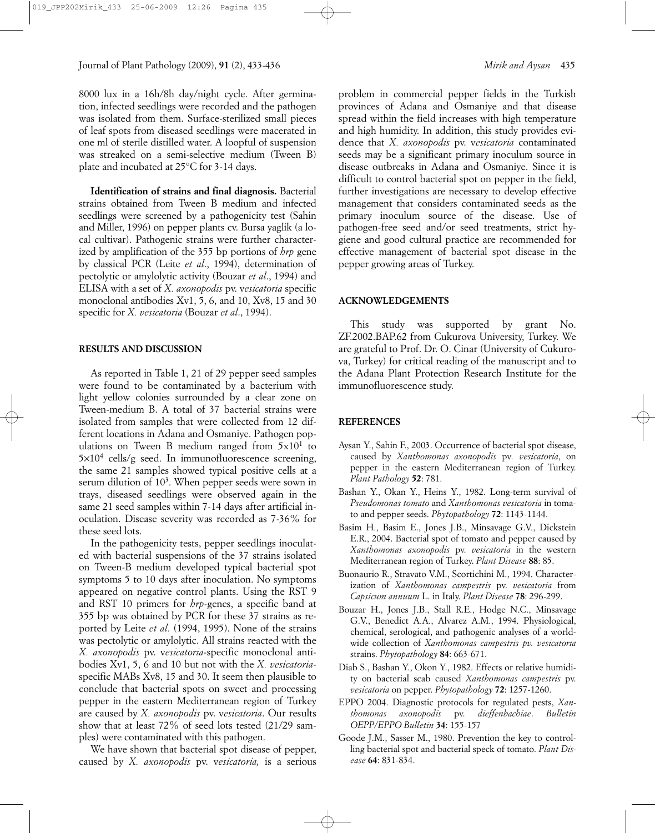Journal of Plant Pathology (2009), **91** (2), 433-436 *Mirik and Aysan* 435

8000 lux in a 16h/8h day/night cycle. After germination, infected seedlings were recorded and the pathogen was isolated from them. Surface-sterilized small pieces of leaf spots from diseased seedlings were macerated in one ml of sterile distilled water. A loopful of suspension was streaked on a semi-selective medium (Tween B) plate and incubated at 25°C for 3-14 days.

**Identification of strains and final diagnosis.** Bacterial strains obtained from Tween B medium and infected seedlings were screened by a pathogenicity test (Sahin and Miller, 1996) on pepper plants cv. Bursa yaglik (a local cultivar). Pathogenic strains were further characterized by amplification of the 355 bp portions of *hrp* gene by classical PCR (Leite *et al*., 1994), determination of pectolytic or amylolytic activity (Bouzar *et al*., 1994) and ELISA with a set of *X. axonopodis* pv. v*esicatoria* specific monoclonal antibodies Xv1, 5, 6, and 10, Xv8, 15 and 30 specific for *X. vesicatoria* (Bouzar *et al*., 1994).

#### **RESULTS AND DISCUSSION**

As reported in Table 1, 21 of 29 pepper seed samples were found to be contaminated by a bacterium with light yellow colonies surrounded by a clear zone on Tween-medium B. A total of 37 bacterial strains were isolated from samples that were collected from 12 different locations in Adana and Osmaniye. Pathogen populations on Tween B medium ranged from  $5x10<sup>1</sup>$  to  $5\times10^4$  cells/g seed. In immunofluorescence screening, the same 21 samples showed typical positive cells at a serum dilution of  $10<sup>3</sup>$ . When pepper seeds were sown in trays, diseased seedlings were observed again in the same 21 seed samples within 7-14 days after artificial inoculation. Disease severity was recorded as 7-36% for these seed lots.

In the pathogenicity tests, pepper seedlings inoculated with bacterial suspensions of the 37 strains isolated on Tween-B medium developed typical bacterial spot symptoms 5 to 10 days after inoculation. No symptoms appeared on negative control plants. Using the RST 9 and RST 10 primers for *hrp*-genes, a specific band at 355 bp was obtained by PCR for these 37 strains as reported by Leite *et al*. (1994, 1995). None of the strains was pectolytic or amylolytic. All strains reacted with the *X. axonopodis* pv. v*esicatoria*-specific monoclonal antibodies Xv1, 5, 6 and 10 but not with the *X. vesicatoria*specific MABs Xv8, 15 and 30. It seem then plausible to conclude that bacterial spots on sweet and processing pepper in the eastern Mediterranean region of Turkey are caused by *X. axonopodis* pv. v*esicatoria*. Our results show that at least 72% of seed lots tested (21/29 samples) were contaminated with this pathogen.

We have shown that bacterial spot disease of pepper, caused by *X. axonopodis* pv. v*esicatoria,* is a serious problem in commercial pepper fields in the Turkish provinces of Adana and Osmaniye and that disease spread within the field increases with high temperature and high humidity. In addition, this study provides evidence that *X. axonopodis* pv. v*esicatoria* contaminated seeds may be a significant primary inoculum source in disease outbreaks in Adana and Osmaniye. Since it is difficult to control bacterial spot on pepper in the field, further investigations are necessary to develop effective management that considers contaminated seeds as the primary inoculum source of the disease. Use of pathogen-free seed and/or seed treatments, strict hygiene and good cultural practice are recommended for effective management of bacterial spot disease in the pepper growing areas of Turkey.

#### **ACKNOWLEDGEMENTS**

This study was supported by grant No. ZF.2002.BAP.62 from Cukurova University, Turkey. We are grateful to Prof. Dr. O. Cinar (University of Cukurova, Turkey) for critical reading of the manuscript and to the Adana Plant Protection Research Institute for the immunofluorescence study.

#### **REFERENCES**

- Aysan Y., Sahin F., 2003. Occurrence of bacterial spot disease, caused by *Xanthomonas axonopodis* pv*. vesicatoria*, on pepper in the eastern Mediterranean region of Turkey. *Plant Pathology* **52**: 781.
- Bashan Y., Okan Y., Heins Y., 1982. Long-term survival of *Pseudomonas tomato* and *Xanthomonas vesicatoria* in tomato and pepper seeds. *Phytopathology* **72**: 1143-1144.
- Basim H., Basim E., Jones J.B., Minsavage G.V., Dickstein E.R., 2004. Bacterial spot of tomato and pepper caused by *Xanthomonas axonopodis* pv. *vesicatoria* in the western Mediterranean region of Turkey. *Plant Disease* **88**: 85.
- Buonaurio R., Stravato V.M., Scortichini M., 1994. Characterization of *Xanthomonas campestris* pv. *vesicatoria* from *Capsicum annuum* L. in Italy. *Plant Disease* **78**: 296-299.
- Bouzar H., Jones J.B., Stall R.E., Hodge N.C., Minsavage G.V., Benedict A.A., Alvarez A.M., 1994. Physiological, chemical, serological, and pathogenic analyses of a worldwide collection of *Xanthomonas campestris pv. vesicatoria* strains. *Phytopathology* **84**: 663-671.
- Diab S., Bashan Y., Okon Y., 1982. Effects or relative humidity on bacterial scab caused *Xanthomonas campestris* pv. *vesicatoria* on pepper. *Phytopathology* **72**: 1257-1260.
- EPPO 2004. Diagnostic protocols for regulated pests, *Xanthomonas axonopodis* pv. *dieffenbachiae*. *Bulletin OEPP/EPPO Bulletin* **34**: 155-157
- Goode J.M., Sasser M., 1980. Prevention the key to controlling bacterial spot and bacterial speck of tomato. *Plant Disease* **64**: 831-834.